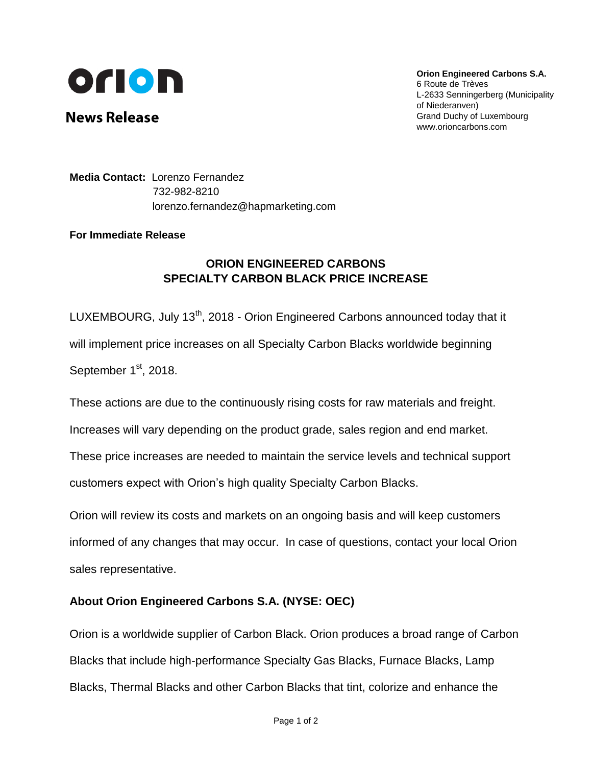

**News Release** 

**Orion Engineered Carbons S.A.** 6 Route de Trèves L-2633 Senningerberg (Municipality of Niederanven) Grand Duchy of Luxembourg www.orioncarbons.com

**Media Contact:** Lorenzo Fernandez 732-982-8210 [lorenzo.fernandez@hapmarketing.com](mailto:lorenzo.fernandez@briechle-fernandez.com)

## **For Immediate Release**

## **ORION ENGINEERED CARBONS SPECIALTY CARBON BLACK PRICE INCREASE**

LUXEMBOURG, July 13<sup>th</sup>, 2018 - Orion Engineered Carbons announced today that it will implement price increases on all Specialty Carbon Blacks worldwide beginning September 1<sup>st</sup>, 2018.

These actions are due to the continuously rising costs for raw materials and freight.

Increases will vary depending on the product grade, sales region and end market.

These price increases are needed to maintain the service levels and technical support customers expect with Orion's high quality Specialty Carbon Blacks.

Orion will review its costs and markets on an ongoing basis and will keep customers informed of any changes that may occur. In case of questions, contact your local Orion sales representative.

## **About Orion Engineered Carbons S.A. (NYSE: OEC)**

Orion is a worldwide supplier of Carbon Black. Orion produces a broad range of Carbon Blacks that include high-performance Specialty Gas Blacks, Furnace Blacks, Lamp Blacks, Thermal Blacks and other Carbon Blacks that tint, colorize and enhance the